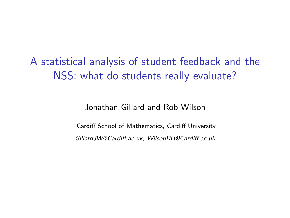A statistical analysis of student feedback and the NSS: what do students really evaluate?

Jonathan Gillard and Rob Wilson

Cardiff School of Mathematics, Cardiff University *GillardJW@Cardiff.ac.uk, WilsonRH@Cardiff.ac.uk*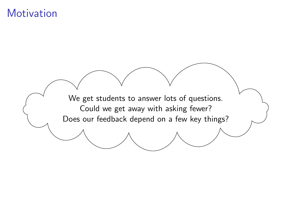### **Motivation**

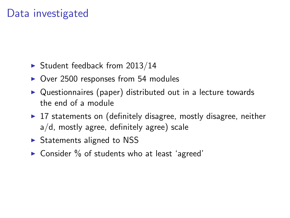## Data investigated

- $\blacktriangleright$  Student feedback from 2013/14
- $\triangleright$  Over 2500 responses from 54 modules
- $\triangleright$  Questionnaires (paper) distributed out in a lecture towards the end of a module
- $\triangleright$  17 statements on (definitely disagree, mostly disagree, neither a/d, mostly agree, definitely agree) scale
- $\triangleright$  Statements aligned to NSS
- $\triangleright$  Consider % of students who at least 'agreed'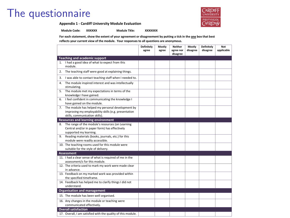### The questionnaire

**Appendix 1 - Cardiff University Module Evaluation**

**Module Code: XXXXXXX** Module Title: XXXXXXX

**For each statement, show the extent of your agreement or disagreement by putting a tick in the one box that best reflects your current view of the module. Your responses to all questions are anonymous.**

|    |                                                                                                                                               | <b>Definitely</b> | Mostly | <b>Neither</b>        | Mostly   | <b>Definitely</b> | Not<br>applicable |
|----|-----------------------------------------------------------------------------------------------------------------------------------------------|-------------------|--------|-----------------------|----------|-------------------|-------------------|
|    |                                                                                                                                               | agree             | agree  | agree nor<br>disagree | disagree | disagree          |                   |
|    | <b>Teaching and academic support</b>                                                                                                          |                   |        |                       |          |                   |                   |
|    | 1. I had a good idea of what to expect from this<br>module.                                                                                   |                   |        |                       |          |                   |                   |
| 2. | The teaching staff were good at explaining things.                                                                                            |                   |        |                       |          |                   |                   |
| 3. | I was able to contact teaching staff when I needed to.                                                                                        |                   |        |                       |          |                   |                   |
| 4. | The module inspired interest and was intellectually<br>stimulating.                                                                           |                   |        |                       |          |                   |                   |
| 5. | The module met my expectations in terms of the<br>knowledge I have gained.                                                                    |                   |        |                       |          |                   |                   |
|    | 6. I feel confident in communicating the knowledge I<br>have gained on the module.                                                            |                   |        |                       |          |                   |                   |
|    | 7. The module has helped my personal development by<br>improving my employability skills (e.g. presentation<br>skills, communication skills). |                   |        |                       |          |                   |                   |
|    | <b>Resources and learning environment</b>                                                                                                     |                   |        |                       |          |                   |                   |
| 8. | The range of the module's resources (on Learning<br>Central and/or in paper form) has effectively<br>supported my learning.                   |                   |        |                       |          |                   |                   |
| 9. | Reading materials (books, journals, etc.) for this<br>module were readily accessible.                                                         |                   |        |                       |          |                   |                   |
|    | 10. The teaching rooms used for this module were<br>suitable for the style of delivery.                                                       |                   |        |                       |          |                   |                   |
|    | <b>Assessment</b>                                                                                                                             |                   |        |                       |          |                   |                   |
|    | 11. I had a clear sense of what is required of me in the<br>assessment/s for this module.                                                     |                   |        |                       |          |                   |                   |
|    | 12. The criteria used to mark my work were made clear<br>in advance.                                                                          |                   |        |                       |          |                   |                   |
|    | 13. Feedback on my marked work was provided within<br>the specified timeframe.                                                                |                   |        |                       |          |                   |                   |
|    | 14. Feedback has helped me to clarify things I did not<br>understand.                                                                         |                   |        |                       |          |                   |                   |
|    | Organisation and management                                                                                                                   |                   |        |                       |          |                   |                   |
|    | 15. The module has been well organised.                                                                                                       |                   |        |                       |          |                   |                   |
|    | 16. Any changes in the module or teaching were<br>communicated effectively.                                                                   |                   |        |                       |          |                   |                   |
|    | <b>Overall satisfaction</b>                                                                                                                   |                   |        |                       |          |                   |                   |
|    | 17. Overall, I am satisfied with the quality of this module.                                                                                  |                   |        |                       |          |                   |                   |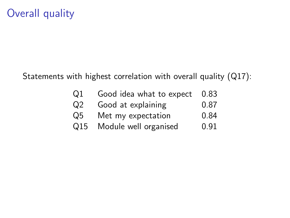# Overall quality

Statements with highest correlation with overall quality (Q17):

| Q <sub>1</sub> | Good idea what to expect | 0.83 |
|----------------|--------------------------|------|
| Q <sub>2</sub> | Good at explaining       | 0.87 |
| Q5             | Met my expectation       | 0.84 |
| Q15            | Module well organised    | 0.91 |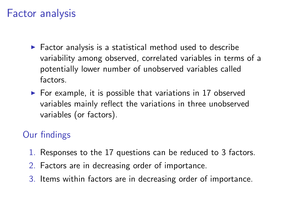### Factor analysis

- $\blacktriangleright$  Factor analysis is a statistical method used to describe variability among observed, correlated variables in terms of a potentially lower number of unobserved variables called factors.
- $\triangleright$  For example, it is possible that variations in 17 observed variables mainly reflect the variations in three unobserved variables (or factors).

#### Our findings

- 1. Responses to the 17 questions can be reduced to 3 factors.
- 2. Factors are in decreasing order of importance.
- 3. Items within factors are in decreasing order of importance.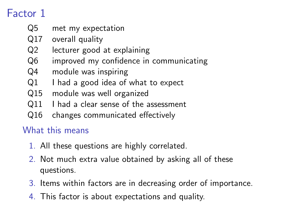# Factor 1

- Q5 met my expectation
- Q17 overall quality
- Q2 lecturer good at explaining
- Q6 improved my confidence in communicating
- Q4 module was inspiring
- Q1 I had a good idea of what to expect
- Q15 module was well organized
- Q11 I had a clear sense of the assessment
- Q16 changes communicated effectively

#### What this means

- 1. All these questions are highly correlated.
- 2. Not much extra value obtained by asking all of these questions.
- 3. Items within factors are in decreasing order of importance.
- 4. This factor is about expectations and quality.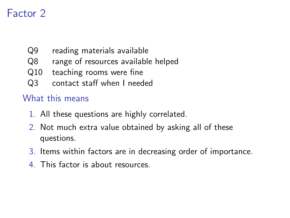# Factor 2

- Q9 reading materials available
- Q8 range of resources available helped
- Q10 teaching rooms were fine
- Q3 contact staff when I needed

#### What this means

- 1. All these questions are highly correlated.
- 2. Not much extra value obtained by asking all of these questions.
- 3. Items within factors are in decreasing order of importance.
- 4. This factor is about resources.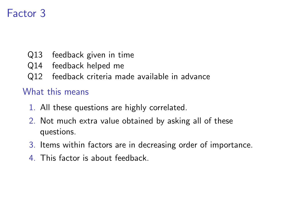# Factor 3

- Q13 feedback given in time
- Q14 feedback helped me
- Q12 feedback criteria made available in advance

#### What this means

- 1. All these questions are highly correlated.
- 2. Not much extra value obtained by asking all of these questions.
- 3. Items within factors are in decreasing order of importance.
- 4. This factor is about feedback.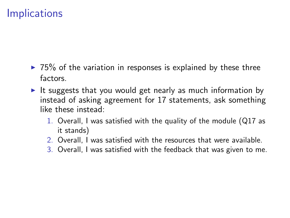### **Implications**

- $\triangleright$  75% of the variation in responses is explained by these three factors.
- It suggests that you would get nearly as much information by instead of asking agreement for 17 statements, ask something like these instead:
	- 1. Overall, I was satisfied with the quality of the module (Q17 as it stands)
	- 2. Overall, I was satisfied with the resources that were available.
	- 3. Overall, I was satisfied with the feedback that was given to me.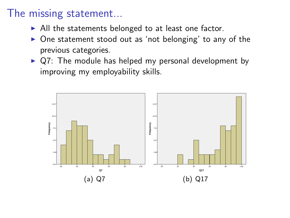### The missing statement...

- $\blacktriangleright$  All the statements belonged to at least one factor.
- One statement stood out as 'not belonging' to any of the previous categories.
- $\triangleright$  Q7: The module has helped my personal development by improving my employability skills.

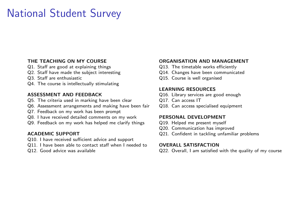# National Student Survey

- 
- Q13. The timetable works efficiently<br>
Q2. Staff have made the subject interesting G14. Changes have been communicated Q2. Staff have made the subject interesting<br>Q3. Staff are enthusiastic
- 
- Q4. The course is intellectually stimulating

- Q5. The criteria used in marking have been clear Galican Commission Commission Commission Commission Commissio<br>Q6. Assessment arrangements and making have been fair Q18. Can access specialised equipment
- Q6. Assessment arrangements and making have been fair
- Q7. Feedback on my work has been prompt
- Q8. I have received detailed comments on my work **PERSONAL DEVELOPMENT**<br>Q9. Feedback on my work has helped me clarify things Q19. Helped me present myself
- Q9. Feedback on my work has helped me clarify things

- Q10. I have received sufficient advice and support
- Q11. I have been able to contact staff when I needed to **OVERALL SATISFACTION**
- 

#### **THE TEACHING ON MY COURSE CONGANISATION AND MANAGEMENT**<br>
Q1. Staff are good at explaining things **COUPS COUPS** O13. The timetable works efficiently

- 
- 
- Q15. Course is well organised

#### **LEARNING RESOURCES**

- **ASSESSMENT AND FEEDBACK** Q16. Library services are good enough<br>Q5. The criteria used in marking have been clear Q17. Can access IT
	-
	-

- 
- Q20. Communication has improved
- **ACADEMIC SUPPORT** Q21. Confident in tackling unfamiliar problems

Q12. Good advice was available Q22. Overall, I am satisfied with the quality of my course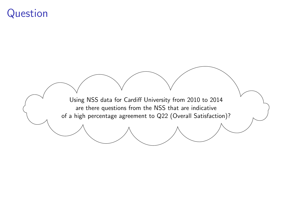### Question

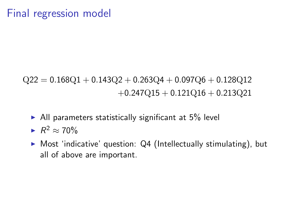# $Q22 = 0.168Q1 + 0.143Q2 + 0.263Q4 + 0.097Q6 + 0.128Q12$ +0*.*247Q15 + 0*.*121Q16 + 0*.*213Q21

- $\blacktriangleright$  All parameters statistically significant at 5% level
- $\blacktriangleright R^2 \approx 70\%$
- $\triangleright$  Most 'indicative' question: Q4 (Intellectually stimulating), but all of above are important.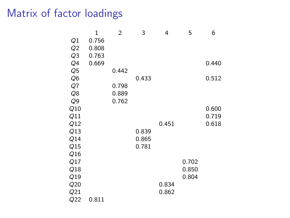## Matrix of factor loadings

|                | 1     | $\overline{2}$ | 3     | 4     | 5     | 6     |
|----------------|-------|----------------|-------|-------|-------|-------|
| Q1             | 0.756 |                |       |       |       |       |
| Q <sub>2</sub> | 0.808 |                |       |       |       |       |
| Q <sub>3</sub> | 0.763 |                |       |       |       |       |
| Q4             | 0.669 |                |       |       |       | 0.440 |
| Q <sub>5</sub> |       | 0.442          |       |       |       |       |
| Q <sub>6</sub> |       |                | 0.433 |       |       | 0.512 |
| Q7             |       | 0.798          |       |       |       |       |
| Q8             |       | 0.889          |       |       |       |       |
| Q <sub>9</sub> |       | 0.762          |       |       |       |       |
| Q10            |       |                |       |       |       | 0.600 |
| Q11            |       |                |       |       |       | 0.719 |
| Q12            |       |                |       | 0.451 |       | 0.618 |
| Q13            |       |                | 0.839 |       |       |       |
| Q14            |       |                | 0.865 |       |       |       |
| Q15            |       |                | 0.781 |       |       |       |
| Q16            |       |                |       |       |       |       |
| Q17            |       |                |       |       | 0.702 |       |
| Q18            |       |                |       |       | 0.850 |       |
| Q19            |       |                |       |       | 0.804 |       |
| Q20            |       |                |       | 0.834 |       |       |
| Q21            |       |                |       | 0.862 |       |       |
| Q22            | 0.811 |                |       |       |       |       |